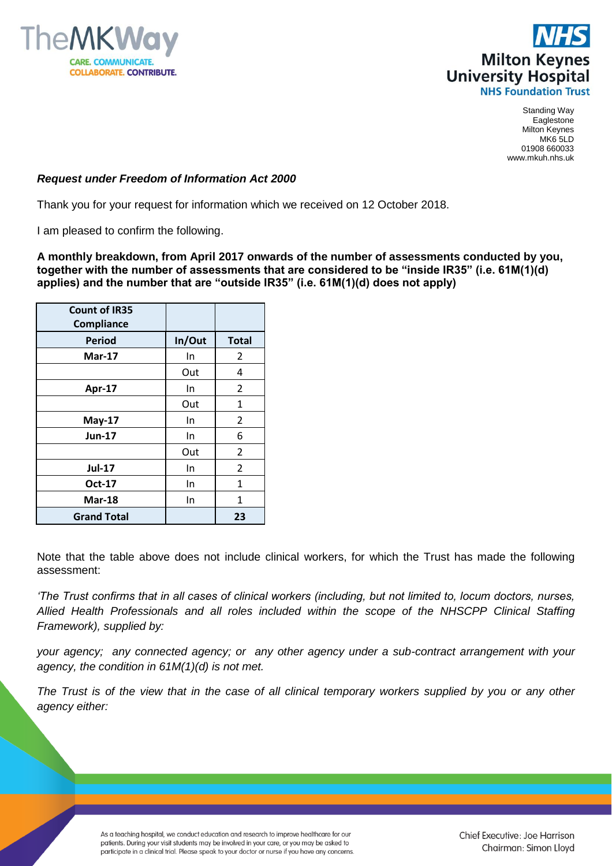



Standing Way Eaglestone Milton Keynes MK6 5LD 01908 660033 www.mkuh.nhs.uk

## *Request under Freedom of Information Act 2000*

Thank you for your request for information which we received on 12 October 2018.

I am pleased to confirm the following.

**A monthly breakdown, from April 2017 onwards of the number of assessments conducted by you, together with the number of assessments that are considered to be "inside IR35" (i.e. 61M(1)(d) applies) and the number that are "outside IR35" (i.e. 61M(1)(d) does not apply)**

| <b>Count of IR35</b><br><b>Compliance</b> |        |                |
|-------------------------------------------|--------|----------------|
| <b>Period</b>                             | In/Out | <b>Total</b>   |
| <b>Mar-17</b>                             | In     | 2              |
|                                           | Out    | 4              |
| Apr-17                                    | In     | 2              |
|                                           | Out    | 1              |
| <b>May-17</b>                             | In     | 2              |
| <b>Jun-17</b>                             | In     | 6              |
|                                           | Out    | 2              |
| <b>Jul-17</b>                             | In     | $\overline{2}$ |
| <b>Oct-17</b>                             | In     | 1              |
| <b>Mar-18</b>                             | In     | 1              |
| <b>Grand Total</b>                        |        | 23             |

Note that the table above does not include clinical workers, for which the Trust has made the following assessment:

*'The Trust confirms that in all cases of clinical workers (including, but not limited to, locum doctors, nurses, Allied Health Professionals and all roles included within the scope of the NHSCPP Clinical Staffing Framework), supplied by:* 

*your agency; any connected agency; or any other agency under a sub-contract arrangement with your agency, the condition in 61M(1)(d) is not met.* 

*The Trust is of the view that in the case of all clinical temporary workers supplied by you or any other agency either:*

> As a teaching hospital, we conduct education and research to improve healthcare for our patients. During your visit students may be involved in your care, or you may be asked to participate in a clinical trial. Please speak to your doctor or nurse if you have any concerns.